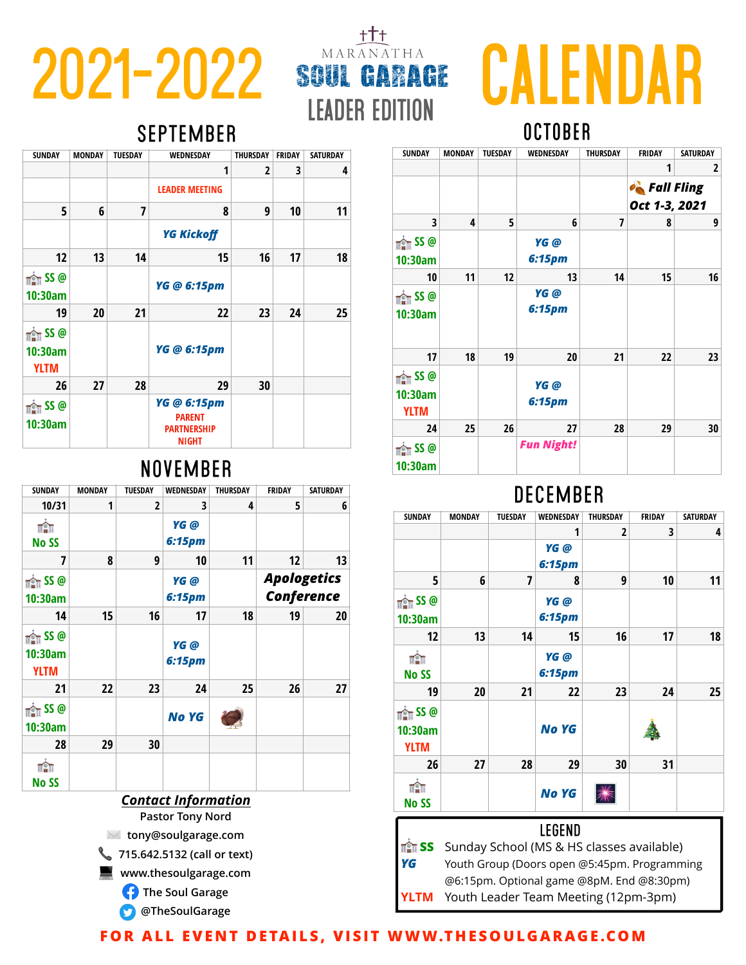# **2021-2022** SOUL GARAGE CALENDAR **october**

#### **SEPTEMBER**

| <b>SUNDAY</b>                                       | <b>MONDAY</b> | <b>TUESDAY</b> | WEDNESDAY                                                          | <b>THURSDAY</b> | <b>FRIDAY</b> | <b>SATURDAY</b> |
|-----------------------------------------------------|---------------|----------------|--------------------------------------------------------------------|-----------------|---------------|-----------------|
|                                                     |               |                | 1                                                                  | 2               | 3             | 4               |
|                                                     |               |                | <b>LEADER MEETING</b>                                              |                 |               |                 |
| 5                                                   | 6             | $\overline{7}$ | 8                                                                  | 9               | 10            | 11              |
|                                                     |               |                | <b>YG Kickoff</b>                                                  |                 |               |                 |
| 12                                                  | 13            | 14             | 15                                                                 | 16              | 17            | 18              |
| $\frac{1}{\ln 2}$ SS @<br>10:30am                   |               |                | YG @ 6:15pm                                                        |                 |               |                 |
| 19                                                  | 20            | 21             | 22                                                                 | 23              | 24            | 25              |
| $\frac{1}{\ln 2\pi}$ SS @<br>10:30am<br><b>YLTM</b> |               |                | YG @ 6:15pm                                                        |                 |               |                 |
| 26                                                  | 27            | 28             | 29                                                                 | 30              |               |                 |
| $\frac{1}{\ln 2}$ SS @<br>10:30am                   |               |                | YG @ 6:15pm<br><b>PARENT</b><br><b>PARTNERSHIP</b><br><b>NIGHT</b> |                 |               |                 |

## **NOVEMBER**

| SUNDAY                                              | <b>MONDAY</b> | <b>TUESDAY</b> | WEDNESDAY      | THURSDAY | <b>FRIDAY</b>                           | <b>SATURDAY</b> |  |  |
|-----------------------------------------------------|---------------|----------------|----------------|----------|-----------------------------------------|-----------------|--|--|
| 10/31                                               | 1             | 2              | 3              | 4        | 5                                       | 6               |  |  |
| nàn                                                 |               |                | YG @           |          |                                         |                 |  |  |
| <b>No SS</b>                                        |               |                | 6:15pm         |          |                                         |                 |  |  |
| 7                                                   | 8             | 9              | 10             | 11       | 12                                      | 13              |  |  |
| $\frac{1}{\ln 2\pi}$ SS @<br>10:30am                |               |                | YG @<br>6:15pm |          | <b>Apologetics</b><br><b>Conference</b> |                 |  |  |
| 14                                                  | 15            | 16             | 17             | 18       | 19                                      | 20              |  |  |
| $\frac{1}{\ln 2\pi}$ SS @<br>10:30am<br><b>YLTM</b> |               |                | YG @<br>6:15pm |          |                                         |                 |  |  |
| 21                                                  | 22            | 23             | 24             | 25       | 26                                      | 27              |  |  |
| $\frac{1}{\ln 2}$ SS @<br>10:30am                   |               |                | <b>No YG</b>   |          |                                         |                 |  |  |
| 28                                                  | 29            | 30             |                |          |                                         |                 |  |  |
| <b>uAu</b><br>No SS                                 |               |                |                |          |                                         |                 |  |  |
| Contact Information                                 |               |                |                |          |                                         |                 |  |  |

**www.thesoulgarage.com**

**The Soul Garage** 

**@TheSoulGarage**

| <b>SUNDAY</b>                                    | <b>MONDAY</b> | <b>TUESDAY</b> | WEDNESDAY         | <b>THURSDAY</b> | <b>FRIDAY</b>     | <b>SATURDAY</b> |
|--------------------------------------------------|---------------|----------------|-------------------|-----------------|-------------------|-----------------|
|                                                  |               |                |                   |                 | 1                 | 2               |
|                                                  |               |                |                   |                 | <b>Cold Fling</b> |                 |
|                                                  |               |                |                   |                 | Oct 1-3, 2021     |                 |
| 3                                                | 4             | 5              | 6                 | 7               | 8                 | 9               |
| $\frac{1}{\ln 2\ln 2}$ SS @<br>10:30am           |               |                | YG @<br>6:15pm    |                 |                   |                 |
| 10                                               | 11            | 12             | 13                | 14              | 15                | 16              |
| $\frac{1}{\ln 2}$ SS @<br>10:30am                |               |                | YG @<br>6:15pm    |                 |                   |                 |
| 17                                               | 18            | 19             | 20                | 21              | 22                | 23              |
| $\frac{1}{\ln 2}$ SS @<br>10:30am<br><b>YLTM</b> |               |                | YG @<br>6:15pm    |                 |                   |                 |
| 24                                               | 25            | 26             | 27                | 28              | 29                | 30              |
| $\frac{1}{\ln 2}$ SS @<br>10:30am                |               |                | <b>Fun Night!</b> |                 |                   |                 |

# **DECEMBER**

|          |    |                             |    |                    |    | <b>SUNDAY</b>          | <b>MONDAY</b> | <b>TUESDAY</b> | <b>WEDNESDAY</b>   | <b>THURSDAY</b>                             | <b>FRIDAY</b> | <b>SATURDAY</b> |
|----------|----|-----------------------------|----|--------------------|----|------------------------|---------------|----------------|--------------------|---------------------------------------------|---------------|-----------------|
|          |    | YG @                        |    |                    |    |                        |               |                |                    | $\overline{2}$                              | 3             | 4               |
|          |    | <b>6:15pm</b>               |    |                    |    |                        |               |                | YG @               |                                             |               |                 |
| 8        | 9  | 10                          | 11 | 12                 | 13 |                        |               |                | 6:15 <sub>pm</sub> |                                             |               |                 |
|          |    | YG @                        |    | <b>Apologetics</b> |    | 5                      | 6             |                | 8                  | 9                                           | 10            | 11              |
|          |    | <b>6:15pm</b>               |    | <b>Conference</b>  |    |                        |               |                |                    |                                             |               |                 |
|          |    |                             |    |                    |    | $\frac{1}{\ln 2}$ SS @ |               |                | YG @               |                                             |               |                 |
| 15       | 16 | 17                          | 18 | 19                 | 20 | 10:30am                |               |                | <b>6:15pm</b>      |                                             |               |                 |
|          |    |                             |    |                    |    | 12                     | 13            | 14             | 15                 | 16                                          | 17            | 18              |
|          |    | YG @                        |    |                    |    | <b>THE TH</b>          |               |                | YG @               |                                             |               |                 |
|          |    | <b>6:15pm</b>               |    |                    |    | <b>No SS</b>           |               |                | 6:15 <sub>pm</sub> |                                             |               |                 |
| 22       | 23 | 24                          | 25 | 26                 | 27 |                        |               |                |                    |                                             |               |                 |
|          |    |                             |    |                    |    | 19                     | 20            | 21             | 22                 | 23                                          | 24            | 25              |
|          |    | <b>No YG</b>                |    |                    |    | $\frac{1}{\ln 2}$ SS @ |               |                |                    |                                             |               |                 |
|          |    |                             |    |                    |    | 10:30am                |               |                | <b>No YG</b>       |                                             | 美             |                 |
| 29       | 30 |                             |    |                    |    | <b>YLTM</b>            |               |                |                    |                                             |               |                 |
|          |    |                             |    |                    |    |                        |               |                |                    |                                             |               |                 |
|          |    |                             |    |                    |    | 26                     | 27            | 28             | 29                 | 30                                          | 31            |                 |
|          |    |                             |    |                    |    | <b>UPU</b>             |               |                |                    |                                             |               |                 |
|          |    | <b>Contact Information</b>  |    |                    |    | <b>No SS</b>           |               |                | <b>No YG</b>       | ☀                                           |               |                 |
|          |    | <b>Pastor Tony Nord</b>     |    |                    |    |                        |               |                |                    |                                             |               |                 |
| $\times$ |    | tony@soulgarage.com         |    |                    |    |                        |               |                | <b>LEGEND</b>      |                                             |               |                 |
|          |    |                             |    |                    |    | <b>THE SS</b>          |               |                |                    | Sunday School (MS & HS classes available)   |               |                 |
|          |    | 715.642.5132 (call or text) |    |                    |    | Ve                     |               |                |                    | Vauth Craus (Deare anno OE-15nm Dragramming |               |                 |

*YG* Youth Group (Doors open @5:45pm. Programming @6:15pm. Optional game @8pM. End @8:30pm) **YLTM** Youth Leader Team Meeting (12pm-3pm)

**FOR ALL EVENT DETAILS, VISIT WWW.THESOULGARAGE.COM**

**leader edition**